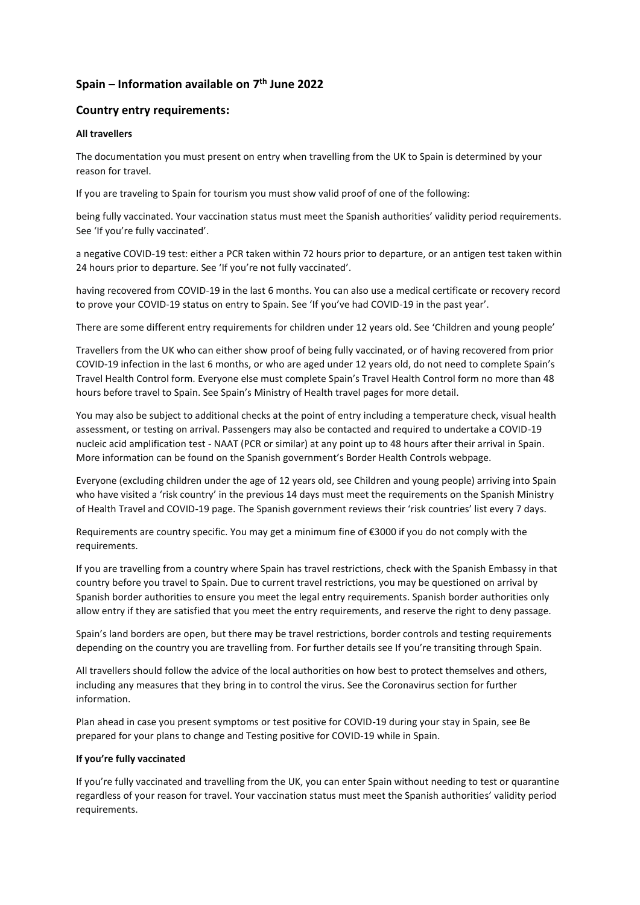# **Spain – Information available on 7 th June 2022**

# **Country entry requirements:**

### **All travellers**

The documentation you must present on entry when travelling from the UK to Spain is determined by your reason for travel.

If you are traveling to Spain for tourism you must show valid proof of one of the following:

being fully vaccinated. Your vaccination status must meet the Spanish authorities' validity period requirements. See 'If you're fully vaccinated'.

a negative COVID-19 test: either a PCR taken within 72 hours prior to departure, or an antigen test taken within 24 hours prior to departure. See 'If you're not fully vaccinated'.

having recovered from COVID-19 in the last 6 months. You can also use a medical certificate or recovery record to prove your COVID-19 status on entry to Spain. See 'If you've had COVID-19 in the past year'.

There are some different entry requirements for children under 12 years old. See 'Children and young people'

Travellers from the UK who can either show proof of being fully vaccinated, or of having recovered from prior COVID-19 infection in the last 6 months, or who are aged under 12 years old, do not need to complete Spain's Travel Health Control form. Everyone else must complete Spain's Travel Health Control form no more than 48 hours before travel to Spain. See Spain's Ministry of Health travel pages for more detail.

You may also be subject to additional checks at the point of entry including a temperature check, visual health assessment, or testing on arrival. Passengers may also be contacted and required to undertake a COVID-19 nucleic acid amplification test - NAAT (PCR or similar) at any point up to 48 hours after their arrival in Spain. More information can be found on the Spanish government's Border Health Controls webpage.

Everyone (excluding children under the age of 12 years old, see Children and young people) arriving into Spain who have visited a 'risk country' in the previous 14 days must meet the requirements on the Spanish Ministry of Health Travel and COVID-19 page. The Spanish government reviews their 'risk countries' list every 7 days.

Requirements are country specific. You may get a minimum fine of €3000 if you do not comply with the requirements.

If you are travelling from a country where Spain has travel restrictions, check with the Spanish Embassy in that country before you travel to Spain. Due to current travel restrictions, you may be questioned on arrival by Spanish border authorities to ensure you meet the legal entry requirements. Spanish border authorities only allow entry if they are satisfied that you meet the entry requirements, and reserve the right to deny passage.

Spain's land borders are open, but there may be travel restrictions, border controls and testing requirements depending on the country you are travelling from. For further details see If you're transiting through Spain.

All travellers should follow the advice of the local authorities on how best to protect themselves and others, including any measures that they bring in to control the virus. See the Coronavirus section for further information.

Plan ahead in case you present symptoms or test positive for COVID-19 during your stay in Spain, see Be prepared for your plans to change and Testing positive for COVID-19 while in Spain.

## **If you're fully vaccinated**

If you're fully vaccinated and travelling from the UK, you can enter Spain without needing to test or quarantine regardless of your reason for travel. Your vaccination status must meet the Spanish authorities' validity period requirements.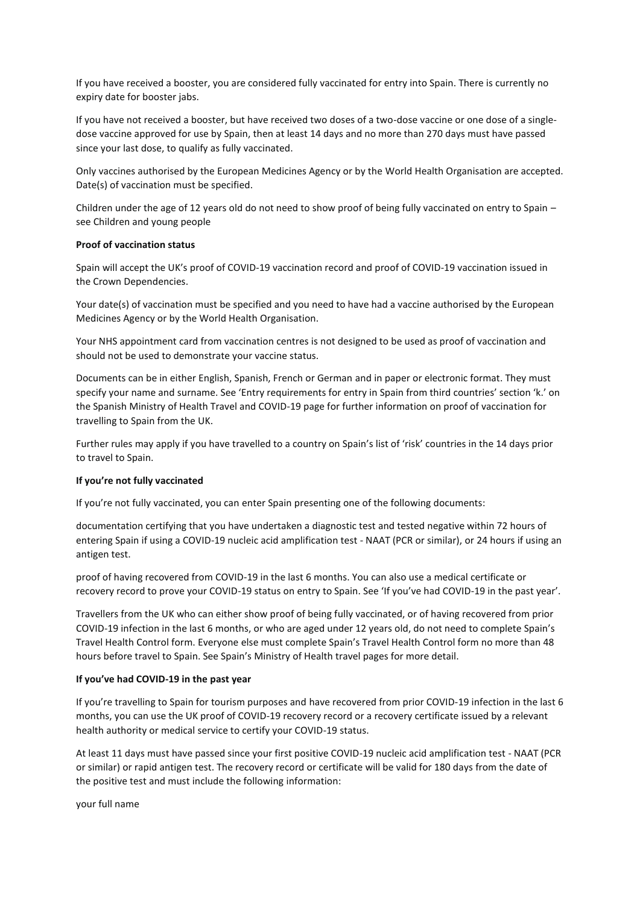If you have received a booster, you are considered fully vaccinated for entry into Spain. There is currently no expiry date for booster jabs.

If you have not received a booster, but have received two doses of a two-dose vaccine or one dose of a singledose vaccine approved for use by Spain, then at least 14 days and no more than 270 days must have passed since your last dose, to qualify as fully vaccinated.

Only vaccines authorised by the European Medicines Agency or by the World Health Organisation are accepted. Date(s) of vaccination must be specified.

Children under the age of 12 years old do not need to show proof of being fully vaccinated on entry to Spain – see Children and young people

#### **Proof of vaccination status**

Spain will accept the UK's proof of COVID-19 vaccination record and proof of COVID-19 vaccination issued in the Crown Dependencies.

Your date(s) of vaccination must be specified and you need to have had a vaccine authorised by the European Medicines Agency or by the World Health Organisation.

Your NHS appointment card from vaccination centres is not designed to be used as proof of vaccination and should not be used to demonstrate your vaccine status.

Documents can be in either English, Spanish, French or German and in paper or electronic format. They must specify your name and surname. See 'Entry requirements for entry in Spain from third countries' section 'k.' on the Spanish Ministry of Health Travel and COVID-19 page for further information on proof of vaccination for travelling to Spain from the UK.

Further rules may apply if you have travelled to a country on Spain's list of 'risk' countries in the 14 days prior to travel to Spain.

#### **If you're not fully vaccinated**

If you're not fully vaccinated, you can enter Spain presenting one of the following documents:

documentation certifying that you have undertaken a diagnostic test and tested negative within 72 hours of entering Spain if using a COVID-19 nucleic acid amplification test - NAAT (PCR or similar), or 24 hours if using an antigen test.

proof of having recovered from COVID-19 in the last 6 months. You can also use a medical certificate or recovery record to prove your COVID-19 status on entry to Spain. See 'If you've had COVID-19 in the past year'.

Travellers from the UK who can either show proof of being fully vaccinated, or of having recovered from prior COVID-19 infection in the last 6 months, or who are aged under 12 years old, do not need to complete Spain's Travel Health Control form. Everyone else must complete Spain's Travel Health Control form no more than 48 hours before travel to Spain. See Spain's Ministry of Health travel pages for more detail.

#### **If you've had COVID-19 in the past year**

If you're travelling to Spain for tourism purposes and have recovered from prior COVID-19 infection in the last 6 months, you can use the UK proof of COVID-19 recovery record or a recovery certificate issued by a relevant health authority or medical service to certify your COVID-19 status.

At least 11 days must have passed since your first positive COVID-19 nucleic acid amplification test - NAAT (PCR or similar) or rapid antigen test. The recovery record or certificate will be valid for 180 days from the date of the positive test and must include the following information:

your full name